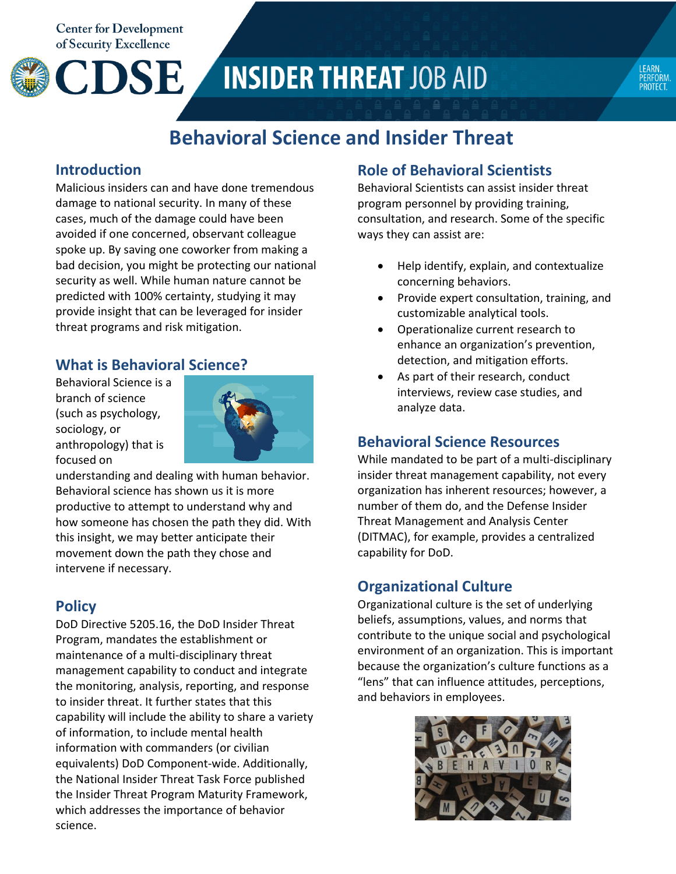**Center for Development** of Security Excellence

CDSE





# **Behavioral Science and Insider Threat**

#### **Introduction**

Malicious insiders can and have done tremendous damage to national security. In many of these cases, much of the damage could have been avoided if one concerned, observant colleague spoke up. By saving one coworker from making a bad decision, you might be protecting our national security as well. While human nature cannot be predicted with 100% certainty, studying it may provide insight that can be leveraged for insider threat programs and risk mitigation.

### **What is Behavioral Science?**

Behavioral Science is a branch of science (such as psychology, sociology, or anthropology) that is focused on



understanding and dealing with human behavior. Behavioral science has shown us it is more productive to attempt to understand why and how someone has chosen the path they did. With this insight, we may better anticipate their movement down the path they chose and intervene if necessary.

# **Policy**

DoD Directive 5205.16, the DoD Insider Threat Program, mandates the establishment or maintenance of a multi-disciplinary threat management capability to conduct and integrate the monitoring, analysis, reporting, and response to insider threat. It further states that this capability will include the ability to share a variety of information, to include mental health information with commanders (or civilian equivalents) DoD Component-wide. Additionally, the National Insider Threat Task Force published the Insider Threat Program Maturity Framework, which addresses the importance of behavior science.

# **Role of Behavioral Scientists**

Behavioral Scientists can assist insider threat program personnel by providing training, consultation, and research. Some of the specific ways they can assist are:

- Help identify, explain, and contextualize concerning behaviors.
- Provide expert consultation, training, and customizable analytical tools.
- Operationalize current research to enhance an organization's prevention, detection, and mitigation efforts.
- As part of their research, conduct interviews, review case studies, and analyze data.

## **Behavioral Science Resources**

While mandated to be part of a multi-disciplinary insider threat management capability, not every organization has inherent resources; however, a number of them do, and the Defense Insider Threat Management and Analysis Center (DITMAC), for example, provides a centralized capability for DoD.

# **Organizational Culture**

Organizational culture is the set of underlying beliefs, assumptions, values, and norms that contribute to the unique social and psychological environment of an organization. This is important because the organization's culture functions as a "lens" that can influence attitudes, perceptions, and behaviors in employees.